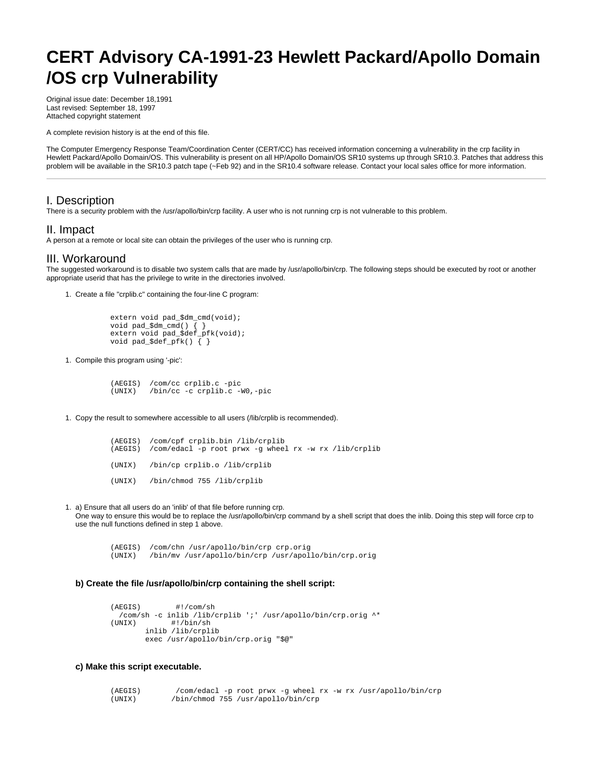# **CERT Advisory CA-1991-23 Hewlett Packard/Apollo Domain /OS crp Vulnerability**

Original issue date: December 18,1991 Last revised: September 18, 1997 Attached copyright statement

A complete revision history is at the end of this file.

The Computer Emergency Response Team/Coordination Center (CERT/CC) has received information concerning a vulnerability in the crp facility in Hewlett Packard/Apollo Domain/OS. This vulnerability is present on all HP/Apollo Domain/OS SR10 systems up through SR10.3. Patches that address this problem will be available in the SR10.3 patch tape (~Feb 92) and in the SR10.4 software release. Contact your local sales office for more information.

## I. Description

There is a security problem with the /usr/apollo/bin/crp facility. A user who is not running crp is not vulnerable to this problem.

### II. Impact

A person at a remote or local site can obtain the privileges of the user who is running crp.

## III. Workaround

The suggested workaround is to disable two system calls that are made by /usr/apollo/bin/crp. The following steps should be executed by root or another appropriate userid that has the privilege to write in the directories involved.

1. Create a file "crplib.c" containing the four-line C program:

```
 extern void pad_$dm_cmd(void);
 void pad_$dm_cmd() { }
 extern void pad_$def_pfk(void);
 void pad_$def_pfk() { }
```
1. Compile this program using '-pic':

 (AEGIS) /com/cc crplib.c -pic (UNIX) /bin/cc -c crplib.c -W0,-pic

1. Copy the result to somewhere accessible to all users (/lib/crplib is recommended).

|  | (AEGIS) /com/cpf crplib.bin /lib/crplib<br>(AEGIS) /com/edacl -p root prwx -q wheel rx -w rx /lib/crplib |
|--|----------------------------------------------------------------------------------------------------------|
|  | (UNIX) /bin/cp crplib.o /lib/crplib                                                                      |
|  | (UNIX) /bin/chmod 755 /lib/crplib                                                                        |

1. a) Ensure that all users do an 'inlib' of that file before running crp. One way to ensure this would be to replace the /usr/apollo/bin/crp command by a shell script that does the inlib. Doing this step will force crp to use the null functions defined in step 1 above.

 (AEGIS) /com/chn /usr/apollo/bin/crp crp.orig (UNIX) /bin/mv /usr/apollo/bin/crp /usr/apollo/bin/crp.orig

#### **b) Create the file /usr/apollo/bin/crp containing the shell script:**

```
 (AEGIS) #!/com/sh
/com/sh -c inlib /lib/crplib ';' /usr/apollo/bin/crp.orig ^*<br>(UNIX) \#!/bin/sh
              #!/bin/sh
         inlib /lib/crplib
         exec /usr/apollo/bin/crp.orig "$@"
```
#### **c) Make this script executable.**

 (AEGIS) /com/edacl -p root prwx -g wheel rx -w rx /usr/apollo/bin/crp (UNIX) /bin/chmod 755 /usr/apollo/bin/crp